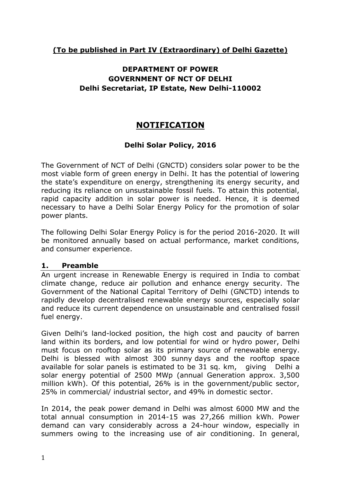# **(To be published in Part IV (Extraordinary) of Delhi Gazette)**

# **DEPARTMENT OF POWER GOVERNMENT OF NCT OF DELHI Delhi Secretariat, IP Estate, New Delhi-110002**

# **NOTIFICATION**

# **Delhi Solar Policy, 2016**

The Government of NCT of Delhi (GNCTD) considers solar power to be the most viable form of green energy in Delhi. It has the potential of lowering the state's expenditure on energy, strengthening its energy security, and reducing its reliance on unsustainable fossil fuels. To attain this potential, rapid capacity addition in solar power is needed. Hence, it is deemed necessary to have a Delhi Solar Energy Policy for the promotion of solar power plants.

The following Delhi Solar Energy Policy is for the period 2016-2020. It will be monitored annually based on actual performance, market conditions, and consumer experience.

#### **1. Preamble**

An urgent increase in Renewable Energy is required in India to combat climate change, reduce air pollution and enhance energy security. The Government of the National Capital Territory of Delhi (GNCTD) intends to rapidly develop decentralised renewable energy sources, especially solar and reduce its current dependence on unsustainable and centralised fossil fuel energy.

Given Delhi's land-locked position, the high cost and paucity of barren land within its borders, and low potential for wind or hydro power, Delhi must focus on rooftop solar as its primary source of renewable energy. Delhi is blessed with almost 300 sunny days and the rooftop space available for solar panels is estimated to be 31 sq. km, giving Delhi a solar energy potential of 2500 MWp (annual Generation approx. 3,500 million kWh). Of this potential, 26% is in the government/public sector, 25% in commercial/ industrial sector, and 49% in domestic sector.

In 2014, the peak power demand in Delhi was almost 6000 MW and the total annual consumption in 2014-15 was 27,266 million kWh. Power demand can vary considerably across a 24-hour window, especially in summers owing to the increasing use of air conditioning. In general,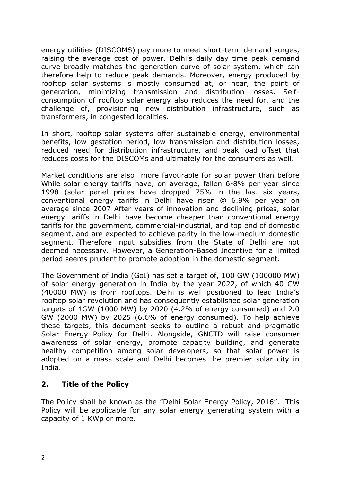energy utilities (DISCOMS) pay more to meet short-term demand surges, raising the average cost of power. Delhi's daily day time peak demand curve broadly matches the generation curve of solar system, which can therefore help to reduce peak demands. Moreover, energy produced by rooftop solar systems is mostly consumed at, or near, the point of generation, minimizing transmission and distribution losses. Selfconsumption of rooftop solar energy also reduces the need for, and the challenge of, provisioning new distribution infrastructure, such as transformers, in congested localities.

In short, rooftop solar systems offer sustainable energy, environmental benefits, low gestation period, low transmission and distribution losses, reduced need for distribution infrastructure, and peak load offset that reduces costs for the DISCOMs and ultimately for the consumers as well.

Market conditions are also more favourable for solar power than before While solar energy tariffs have, on average, fallen 6-8% per year since 1998 (solar panel prices have dropped 75% in the last six years, conventional energy tariffs in Delhi have risen @ 6.9% per year on average since 2007 After years of innovation and declining prices, solar energy tariffs in Delhi have become cheaper than conventional energy tariffs for the government, commercial-industrial, and top end of domestic segment, and are expected to achieve parity in the low-medium domestic segment. Therefore input subsidies from the State of Delhi are not deemed necessary. However, a Generation-Based Incentive for a limited period seems prudent to promote adoption in the domestic segment.

The Government of India (GoI) has set a target of, 100 GW (100000 MW) of solar energy generation in India by the year 2022, of which 40 GW (40000 MW) is from rooftops. Delhi is well positioned to lead India's rooftop solar revolution and has consequently established solar generation targets of 1GW (1000 MW) by 2020 (4.2% of energy consumed) and 2.0 GW (2000 MW) by 2025 (6.6% of energy consumed). To help achieve these targets, this document seeks to outline a robust and pragmatic Solar Energy Policy for Delhi. Alongside, GNCTD will raise consumer awareness of solar energy, promote capacity building, and generate healthy competition among solar developers, so that solar power is adopted on a mass scale and Delhi becomes the premier solar city in India.

#### **2. Title of the Policy**

The Policy shall be known as the "Delhi Solar Energy Policy, 2016". This Policy will be applicable for any solar energy generating system with a capacity of 1 KWp or more.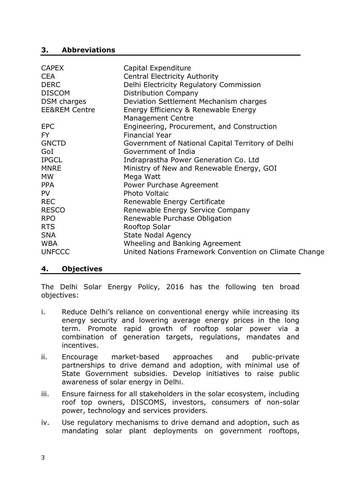#### **3. Abbreviations**

| <b>CAPEX</b>             | Capital Expenditure                                   |
|--------------------------|-------------------------------------------------------|
| <b>CEA</b>               | <b>Central Electricity Authority</b>                  |
| <b>DERC</b>              | Delhi Electricity Regulatory Commission               |
| <b>DISCOM</b>            | <b>Distribution Company</b>                           |
| DSM charges              | Deviation Settlement Mechanism charges                |
| <b>EE&amp;REM Centre</b> | Energy Efficiency & Renewable Energy                  |
|                          | <b>Management Centre</b>                              |
| <b>EPC</b>               | Engineering, Procurement, and Construction            |
| FY.                      | <b>Financial Year</b>                                 |
| <b>GNCTD</b>             | Government of National Capital Territory of Delhi     |
| GoI                      | Government of India                                   |
| <b>IPGCL</b>             | Indraprastha Power Generation Co. Ltd                 |
| <b>MNRE</b>              | Ministry of New and Renewable Energy, GOI             |
| <b>MW</b>                | Mega Watt                                             |
| <b>PPA</b>               | Power Purchase Agreement                              |
| <b>PV</b>                | <b>Photo Voltaic</b>                                  |
| <b>REC</b>               | Renewable Energy Certificate                          |
| <b>RESCO</b>             | Renewable Energy Service Company                      |
| <b>RPO</b>               | Renewable Purchase Obligation                         |
| <b>RTS</b>               | Rooftop Solar                                         |
| <b>SNA</b>               | <b>State Nodal Agency</b>                             |
| <b>WBA</b>               | Wheeling and Banking Agreement                        |
| <b>UNFCCC</b>            | United Nations Framework Convention on Climate Change |
|                          |                                                       |

#### **4. Objectives**

The Delhi Solar Energy Policy, 2016 has the following ten broad objectives:

- i. Reduce Delhi's reliance on conventional energy while increasing its energy security and lowering average energy prices in the long term. Promote rapid growth of rooftop solar power via a combination of generation targets, regulations, mandates and incentives.
- ii. Encourage market-based approaches and public-private partnerships to drive demand and adoption, with minimal use of State Government subsidies. Develop initiatives to raise public awareness of solar energy in Delhi.
- iii. Ensure fairness for all stakeholders in the solar ecosystem, including roof top owners, DISCOMS, investors, consumers of non-solar power, technology and services providers.
- iv. Use regulatory mechanisms to drive demand and adoption, such as mandating solar plant deployments on government rooftops,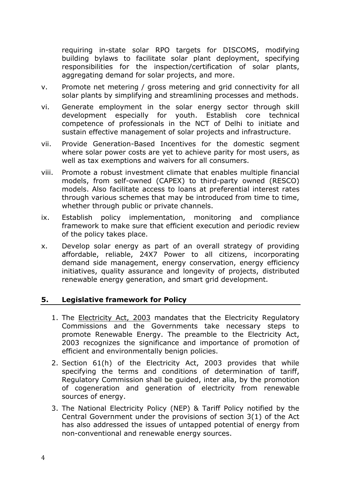requiring in-state solar RPO targets for DISCOMS, modifying building bylaws to facilitate solar plant deployment, specifying responsibilities for the inspection/certification of solar plants, aggregating demand for solar projects, and more.

- v. Promote net metering / gross metering and grid connectivity for all solar plants by simplifying and streamlining processes and methods.
- vi. Generate employment in the solar energy sector through skill development especially for youth. Establish core technical competence of professionals in the NCT of Delhi to initiate and sustain effective management of solar projects and infrastructure.
- vii. Provide Generation-Based Incentives for the domestic segment where solar power costs are yet to achieve parity for most users, as well as tax exemptions and waivers for all consumers.
- viii. Promote a robust investment climate that enables multiple financial models, from self-owned (CAPEX) to third-party owned (RESCO) models. Also facilitate access to loans at preferential interest rates through various schemes that may be introduced from time to time, whether through public or private channels.
- ix. Establish policy implementation, monitoring and compliance framework to make sure that efficient execution and periodic review of the policy takes place.
- x. Develop solar energy as part of an overall strategy of providing affordable, reliable, 24X7 Power to all citizens, incorporating demand side management, energy conservation, energy efficiency initiatives, quality assurance and longevity of projects, distributed renewable energy generation, and smart grid development.

## **5. Legislative framework for Policy**

- 1. The **[Electricity Act, 2003](http://www.cercind.gov.in/08022007/Act-with-amendment.pdf)** mandates that the Electricity Regulatory Commissions and the Governments take necessary steps to promote Renewable Energy. The preamble to the Electricity Act, 2003 recognizes the significance and importance of promotion of efficient and environmentally benign policies.
- 2. Section 61(h) of the Electricity Act, 2003 provides that while specifying the terms and conditions of determination of tariff, Regulatory Commission shall be guided, inter alia, by the promotion of cogeneration and generation of electricity from renewable sources of energy.
- 3. The National Electricity Policy (NEP) & Tariff Policy notified by the Central Government under the provisions of section 3(1) of the Act has also addressed the issues of untapped potential of energy from non-conventional and renewable energy sources.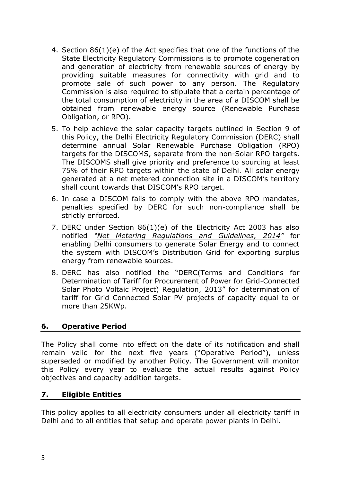- 4. Section 86(1)(e) of the Act specifies that one of the functions of the State Electricity Regulatory Commissions is to promote cogeneration and generation of electricity from renewable sources of energy by providing suitable measures for connectivity with grid and to promote sale of such power to any person. The Regulatory Commission is also required to stipulate that a certain percentage of the total consumption of electricity in the area of a DISCOM shall be obtained from renewable energy source (Renewable Purchase Obligation, or RPO).
- 5. To help achieve the solar capacity targets outlined in Section 9 of this Policy, the Delhi Electricity Regulatory Commission (DERC) shall determine annual Solar Renewable Purchase Obligation (RPO) targets for the DISCOMS, separate from the non-Solar RPO targets. The DISCOMS shall give priority and preference to sourcing at least 75% of their RPO targets within the state of Delhi. All solar energy generated at a net metered connection site in a DISCOM's territory shall count towards that DISCOM's RPO target.
- 6. In case a DISCOM fails to comply with the above RPO mandates, penalties specified by DERC for such non-compliance shall be strictly enforced.
- 7. DERC under Section 86(1)(e) of the Electricity Act 2003 has also notified *"[Net Metering Regulations and Guidelines, 2014](http://mnre.gov.in/file-manager/UserFiles/Grid-Connected-Solar-Rooftop-policy/DERC_Renewable_Energy_Net_Metering_Regulations_2014.pdf)"* for enabling Delhi consumers to generate Solar Energy and to connect the system with DISCOM's Distribution Grid for exporting surplus energy from renewable sources.
- 8. DERC has also notified the "DERC(Terms and Conditions for Determination of Tariff for Procurement of Power for Grid-Connected Solar Photo Voltaic Project) Regulation, 2013" for determination of tariff for Grid Connected Solar PV projects of capacity equal to or more than 25KWp.

## **6. Operative Period**

The Policy shall come into effect on the date of its notification and shall remain valid for the next five years ("Operative Period"), unless superseded or modified by another Policy. The Government will monitor this Policy every year to evaluate the actual results against Policy objectives and capacity addition targets.

#### **7. Eligible Entities**

This policy applies to all electricity consumers under all electricity tariff in Delhi and to all entities that setup and operate power plants in Delhi.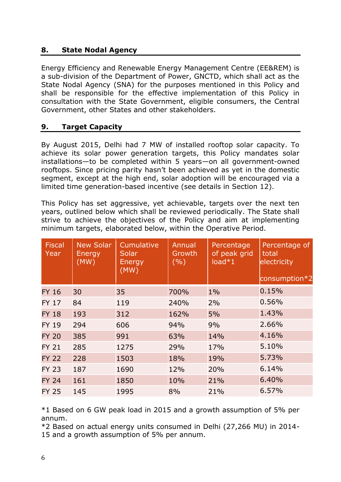## **8. State Nodal Agency**

Energy Efficiency and Renewable Energy Management Centre (EE&REM) is a sub-division of the Department of Power, GNCTD, which shall act as the State Nodal Agency (SNA) for the purposes mentioned in this Policy and shall be responsible for the effective implementation of this Policy in consultation with the State Government, eligible consumers, the Central Government, other States and other stakeholders.

## **9. Target Capacity**

By August 2015, Delhi had 7 MW of installed rooftop solar capacity. To achieve its solar power generation targets, this Policy mandates solar installations—to be completed within 5 years—on all government-owned rooftops. Since pricing parity hasn't been achieved as yet in the domestic segment, except at the high end, solar adoption will be encouraged via a limited time generation-based incentive (see details in Section 12).

This Policy has set aggressive, yet achievable, targets over the next ten years, outlined below which shall be reviewed periodically. The State shall strive to achieve the objectives of the Policy and aim at implementing minimum targets, elaborated below, within the Operative Period.

| <b>Fiscal</b><br>Year | <b>New Solar</b><br>Energy<br>(MW) | Cumulative<br>Solar<br>Energy<br>(MW) | Annual<br>Growth<br>(%) | Percentage<br>of peak grid<br>$load*1$ | Percentage of<br>total<br>electricity<br>consumption*2 |
|-----------------------|------------------------------------|---------------------------------------|-------------------------|----------------------------------------|--------------------------------------------------------|
| <b>FY 16</b>          | 30                                 | 35                                    | 700%                    | $1\%$                                  | 0.15%                                                  |
| <b>FY 17</b>          | 84                                 | 119                                   | 240%                    | 2%                                     | 0.56%                                                  |
| <b>FY 18</b>          | 193                                | 312                                   | 162%                    | 5%                                     | 1.43%                                                  |
| <b>FY 19</b>          | 294                                | 606                                   | 94%                     | 9%                                     | 2.66%                                                  |
| <b>FY 20</b>          | 385                                | 991                                   | 63%                     | 14%                                    | 4.16%                                                  |
| <b>FY 21</b>          | 285                                | 1275                                  | 29%                     | 17%                                    | 5.10%                                                  |
| <b>FY 22</b>          | 228                                | 1503                                  | 18%                     | 19%                                    | 5.73%                                                  |
| <b>FY 23</b>          | 187                                | 1690                                  | 12%                     | 20%                                    | 6.14%                                                  |
| <b>FY 24</b>          | 161                                | 1850                                  | 10%                     | 21%                                    | 6.40%                                                  |
| <b>FY 25</b>          | 145                                | 1995                                  | 8%                      | 21%                                    | 6.57%                                                  |

\*1 Based on 6 GW peak load in 2015 and a growth assumption of 5% per annum.

\*2 Based on actual energy units consumed in Delhi (27,266 MU) in 2014- 15 and a growth assumption of 5% per annum.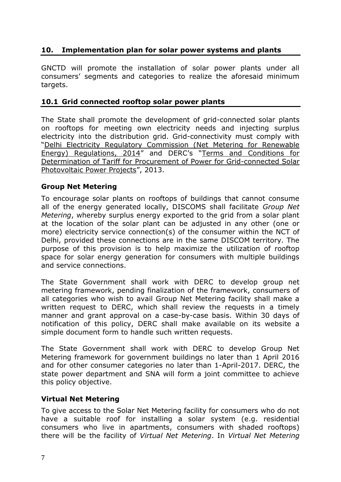# **10. Implementation plan for solar power systems and plants**

GNCTD will promote the installation of solar power plants under all consumers' segments and categories to realize the aforesaid minimum targets.

#### **10.1 Grid connected rooftop solar power plants**

The State shall promote the development of grid-connected solar plants on rooftops for meeting own electricity needs and injecting surplus electricity into the distribution grid. Grid-connectivity must comply with "[Delhi Electricity Regulatory Commission \(Net Metering for Renewable](http://mnre.gov.in/file-manager/UserFiles/Grid-Connected-Solar-Rooftop-policy/DERC_Renewable_Energy_Net_Metering_Regulations_2014.pdf)  [Energy\) Regulations, 2014](http://mnre.gov.in/file-manager/UserFiles/Grid-Connected-Solar-Rooftop-policy/DERC_Renewable_Energy_Net_Metering_Regulations_2014.pdf)" and DERC's "[Terms and Conditions for](http://www.derc.gov.in/Main%20Page%20Matter/Draft%20Regulation%20on%20Solar%20PV%20Power%20Projects/Solar%20Regulation.pdf)  [Determination of Tariff for Procurement of Power for Grid-connected Solar](http://www.derc.gov.in/Main%20Page%20Matter/Draft%20Regulation%20on%20Solar%20PV%20Power%20Projects/Solar%20Regulation.pdf)  [Photovoltaic Power Projects](http://www.derc.gov.in/Main%20Page%20Matter/Draft%20Regulation%20on%20Solar%20PV%20Power%20Projects/Solar%20Regulation.pdf)", 2013.

#### **Group Net Metering**

To encourage solar plants on rooftops of buildings that cannot consume all of the energy generated locally, DISCOMS shall facilitate *Group Net Metering*, whereby surplus energy exported to the grid from a solar plant at the location of the solar plant can be adjusted in any other (one or more) electricity service connection(s) of the consumer within the NCT of Delhi, provided these connections are in the same DISCOM territory. The purpose of this provision is to help maximize the utilization of rooftop space for solar energy generation for consumers with multiple buildings and service connections.

The State Government shall work with DERC to develop group net metering framework, pending finalization of the framework, consumers of all categories who wish to avail Group Net Metering facility shall make a written request to DERC, which shall review the requests in a timely manner and grant approval on a case-by-case basis. Within 30 days of notification of this policy, DERC shall make available on its website a simple document form to handle such written requests.

The State Government shall work with DERC to develop Group Net Metering framework for government buildings no later than 1 April 2016 and for other consumer categories no later than 1-April-2017. DERC, the state power department and SNA will form a joint committee to achieve this policy objective.

#### **Virtual Net Metering**

To give access to the Solar Net Metering facility for consumers who do not have a suitable roof for installing a solar system (e.g. residential consumers who live in apartments, consumers with shaded rooftops) there will be the facility of *Virtual Net Metering*. In *Virtual Net Metering*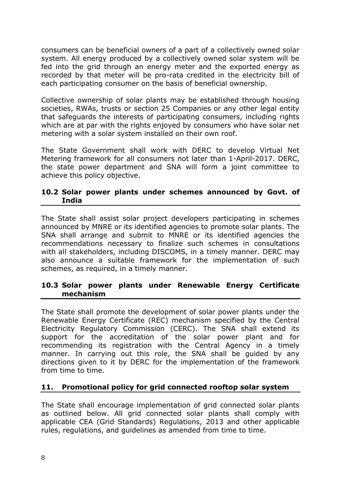consumers can be beneficial owners of a part of a collectively owned solar system. All energy produced by a collectively owned solar system will be fed into the grid through an energy meter and the exported energy as recorded by that meter will be pro-rata credited in the electricity bill of each participating consumer on the basis of beneficial ownership.

Collective ownership of solar plants may be established through housing societies, RWAs, trusts or section 25 Companies or any other legal entity that safeguards the interests of participating consumers, including rights which are at par with the rights enjoyed by consumers who have solar net metering with a solar system installed on their own roof.

The State Government shall work with DERC to develop Virtual Net Metering framework for all consumers not later than 1-April-2017. DERC, the state power department and SNA will form a joint committee to achieve this policy objective.

#### **10.2 Solar power plants under schemes announced by Govt. of India**

The State shall assist solar project developers participating in schemes announced by MNRE or its identified agencies to promote solar plants. The SNA shall arrange and submit to MNRE or its identified agencies the recommendations necessary to finalize such schemes in consultations with all stakeholders, including DISCOMS, in a timely manner. DERC may also announce a suitable framework for the implementation of such schemes, as required, in a timely manner.

#### **10.3 Solar power plants under Renewable Energy Certificate mechanism**

The State shall promote the development of solar power plants under the Renewable Energy Certificate (REC) mechanism specified by the Central Electricity Regulatory Commission (CERC). The SNA shall extend its support for the accreditation of the solar power plant and for recommending its registration with the Central Agency in a timely manner. In carrying out this role, the SNA shall be guided by any directions given to it by DERC for the implementation of the framework from time to time.

## **11. Promotional policy for grid connected rooftop solar system**

The State shall encourage implementation of grid connected solar plants as outlined below. All grid connected solar plants shall comply with applicable CEA (Grid Standards) Regulations, 2013 and other applicable rules, regulations, and guidelines as amended from time to time.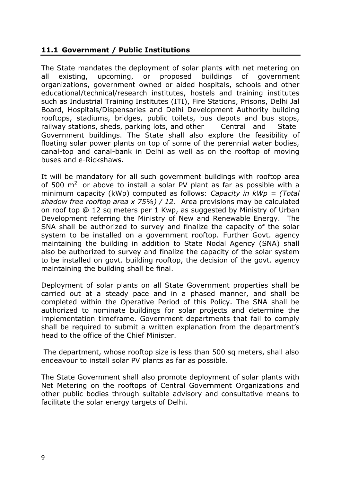## **11.1 Government / Public Institutions**

The State mandates the deployment of solar plants with net metering on all existing, upcoming, or proposed buildings of government organizations, government owned or aided hospitals, schools and other educational/technical/research institutes, hostels and training institutes such as Industrial Training Institutes (ITI), Fire Stations, Prisons, Delhi Jal Board, Hospitals/Dispensaries and Delhi Development Authority building rooftops, stadiums, bridges, public toilets, bus depots and bus stops, railway stations, sheds, parking lots, and other Central and State Government buildings. The State shall also explore the feasibility of floating solar power plants on top of some of the perennial water bodies, canal-top and canal-bank in Delhi as well as on the rooftop of moving buses and e-Rickshaws.

It will be mandatory for all such government buildings with rooftop area of 500  $m^2$  or above to install a solar PV plant as far as possible with a minimum capacity (kWp) computed as follows: *Capacity in kWp = (Total shadow free rooftop area x 75%) / 12*. Area provisions may be calculated on roof top @ 12 sq meters per 1 Kwp, as suggested by Ministry of Urban Development referring the Ministry of New and Renewable Energy. The SNA shall be authorized to survey and finalize the capacity of the solar system to be installed on a government rooftop. Further Govt. agency maintaining the building in addition to State Nodal Agency (SNA) shall also be authorized to survey and finalize the capacity of the solar system to be installed on govt. building rooftop, the decision of the govt. agency maintaining the building shall be final.

Deployment of solar plants on all State Government properties shall be carried out at a steady pace and in a phased manner, and shall be completed within the Operative Period of this Policy. The SNA shall be authorized to nominate buildings for solar projects and determine the implementation timeframe. Government departments that fail to comply shall be required to submit a written explanation from the department's head to the office of the Chief Minister.

The department, whose rooftop size is less than 500 sq meters, shall also endeavour to install solar PV plants as far as possible.

The State Government shall also promote deployment of solar plants with Net Metering on the rooftops of Central Government Organizations and other public bodies through suitable advisory and consultative means to facilitate the solar energy targets of Delhi.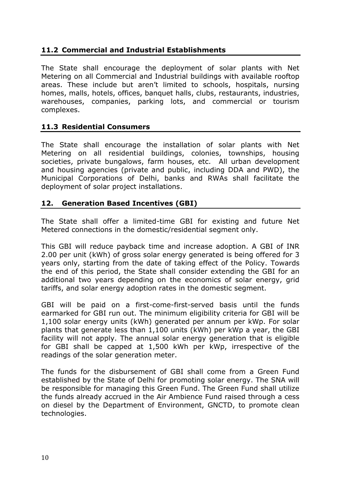# **11.2 Commercial and Industrial Establishments**

The State shall encourage the deployment of solar plants with Net Metering on all Commercial and Industrial buildings with available rooftop areas. These include but aren't limited to schools, hospitals, nursing homes, malls, hotels, offices, banquet halls, clubs, restaurants, industries, warehouses, companies, parking lots, and commercial or tourism complexes.

## **11.3 Residential Consumers**

The State shall encourage the installation of solar plants with Net Metering on all residential buildings, colonies, townships, housing societies, private bungalows, farm houses, etc. All urban development and housing agencies (private and public, including DDA and PWD), the Municipal Corporations of Delhi, banks and RWAs shall facilitate the deployment of solar project installations.

## **12. Generation Based Incentives (GBI)**

The State shall offer a limited-time GBI for existing and future Net Metered connections in the domestic/residential segment only.

This GBI will reduce payback time and increase adoption. A GBI of INR 2.00 per unit (kWh) of gross solar energy generated is being offered for 3 years only, starting from the date of taking effect of the Policy. Towards the end of this period, the State shall consider extending the GBI for an additional two years depending on the economics of solar energy, grid tariffs, and solar energy adoption rates in the domestic segment.

GBI will be paid on a first-come-first-served basis until the funds earmarked for GBI run out. The minimum eligibility criteria for GBI will be 1,100 solar energy units (kWh) generated per annum per kWp. For solar plants that generate less than 1,100 units (kWh) per kWp a year, the GBI facility will not apply. The annual solar energy generation that is eligible for GBI shall be capped at 1,500 kWh per kWp, irrespective of the readings of the solar generation meter.

The funds for the disbursement of GBI shall come from a Green Fund established by the State of Delhi for promoting solar energy. The SNA will be responsible for managing this Green Fund. The Green Fund shall utilize the funds already accrued in the Air Ambience Fund raised through a cess on diesel by the Department of Environment, GNCTD, to promote clean technologies.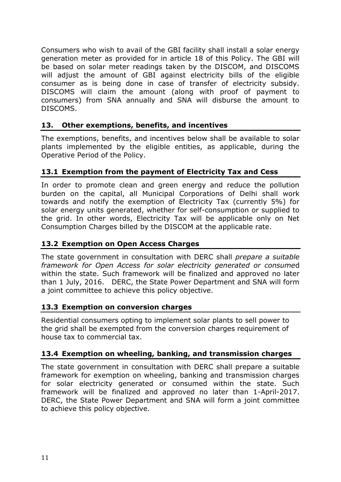Consumers who wish to avail of the GBI facility shall install a solar energy generation meter as provided for in article 18 of this Policy. The GBI will be based on solar meter readings taken by the DISCOM, and DISCOMS will adjust the amount of GBI against electricity bills of the eligible consumer as is being done in case of transfer of electricity subsidy. DISCOMS will claim the amount (along with proof of payment to consumers) from SNA annually and SNA will disburse the amount to DISCOMS.

# **13. Other exemptions, benefits, and incentives**

The exemptions, benefits, and incentives below shall be available to solar plants implemented by the eligible entities, as applicable, during the Operative Period of the Policy.

# **13.1 Exemption from the payment of Electricity Tax and Cess**

In order to promote clean and green energy and reduce the pollution burden on the capital, all Municipal Corporations of Delhi shall work towards and notify the exemption of Electricity Tax (currently 5%) for solar energy units generated, whether for self-consumption or supplied to the grid. In other words, Electricity Tax will be applicable only on Net Consumption Charges billed by the DISCOM at the applicable rate.

# **13.2 Exemption on Open Access Charges**

The state government in consultation with DERC shall *prepare a suitable framework for Open Access for solar electricity generated or consume*d within the state. Such framework will be finalized and approved no later than 1 July, 2016. DERC, the State Power Department and SNA will form a joint committee to achieve this policy objective.

## **13.3 Exemption on conversion charges**

Residential consumers opting to implement solar plants to sell power to the grid shall be exempted from the conversion charges requirement of house tax to commercial tax.

# **13.4 Exemption on wheeling, banking, and transmission charges**

The state government in consultation with DERC shall prepare a suitable framework for exemption on wheeling, banking and transmission charges for solar electricity generated or consumed within the state. Such framework will be finalized and approved no later than 1-April-2017. DERC, the State Power Department and SNA will form a joint committee to achieve this policy objective.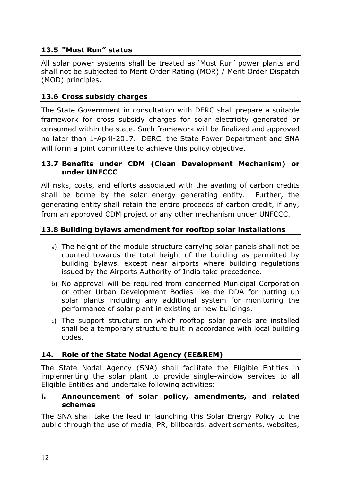# **13.5 "Must Run" status**

All solar power systems shall be treated as 'Must Run' power plants and shall not be subjected to Merit Order Rating (MOR) / Merit Order Dispatch (MOD) principles.

# **13.6 Cross subsidy charges**

The State Government in consultation with DERC shall prepare a suitable framework for cross subsidy charges for solar electricity generated or consumed within the state. Such framework will be finalized and approved no later than 1-April-2017. DERC, the State Power Department and SNA will form a joint committee to achieve this policy objective.

#### **13.7 Benefits under CDM (Clean Development Mechanism) or under UNFCCC**

All risks, costs, and efforts associated with the availing of carbon credits shall be borne by the solar energy generating entity. Further, the generating entity shall retain the entire proceeds of carbon credit, if any, from an approved CDM project or any other mechanism under UNFCCC.

## **13.8 Building bylaws amendment for rooftop solar installations**

- a) The height of the module structure carrying solar panels shall not be counted towards the total height of the building as permitted by building bylaws, except near airports where building regulations issued by the Airports Authority of India take precedence.
- b) No approval will be required from concerned Municipal Corporation or other Urban Development Bodies like the DDA for putting up solar plants including any additional system for monitoring the performance of solar plant in existing or new buildings.
- c) The support structure on which rooftop solar panels are installed shall be a temporary structure built in accordance with local building codes.

# **14. Role of the State Nodal Agency (EE&REM)**

The State Nodal Agency (SNA) shall facilitate the Eligible Entities in implementing the solar plant to provide single-window services to all Eligible Entities and undertake following activities:

#### **i. Announcement of solar policy, amendments, and related schemes**

The SNA shall take the lead in launching this Solar Energy Policy to the public through the use of media, PR, billboards, advertisements, websites,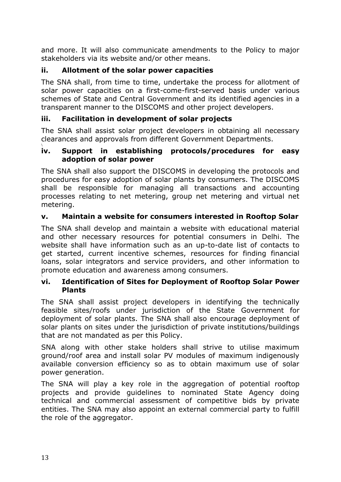and more. It will also communicate amendments to the Policy to major stakeholders via its website and/or other means.

# **ii. Allotment of the solar power capacities**

The SNA shall, from time to time, undertake the process for allotment of solar power capacities on a first-come-first-served basis under various schemes of State and Central Government and its identified agencies in a transparent manner to the DISCOMS and other project developers.

## **iii. Facilitation in development of solar projects**

The SNA shall assist solar project developers in obtaining all necessary clearances and approvals from different Government Departments. \

#### **iv. Support in establishing protocols/procedures for easy adoption of solar power**

The SNA shall also support the DISCOMS in developing the protocols and procedures for easy adoption of solar plants by consumers. The DISCOMS shall be responsible for managing all transactions and accounting processes relating to net metering, group net metering and virtual net metering.

## **v. Maintain a website for consumers interested in Rooftop Solar**

The SNA shall develop and maintain a website with educational material and other necessary resources for potential consumers in Delhi. The website shall have information such as an up-to-date list of contacts to get started, current incentive schemes, resources for finding financial loans, solar integrators and service providers, and other information to promote education and awareness among consumers.

#### \ **vi. Identification of Sites for Deployment of Rooftop Solar Power Plants**

The SNA shall assist project developers in identifying the technically feasible sites/roofs under jurisdiction of the State Government for deployment of solar plants. The SNA shall also encourage deployment of solar plants on sites under the jurisdiction of private institutions/buildings that are not mandated as per this Policy.

SNA along with other stake holders shall strive to utilise maximum ground/roof area and install solar PV modules of maximum indigenously available conversion efficiency so as to obtain maximum use of solar power generation.

The SNA will play a key role in the aggregation of potential rooftop projects and provide guidelines to nominated State Agency doing technical and commercial assessment of competitive bids by private entities. The SNA may also appoint an external commercial party to fulfill the role of the aggregator.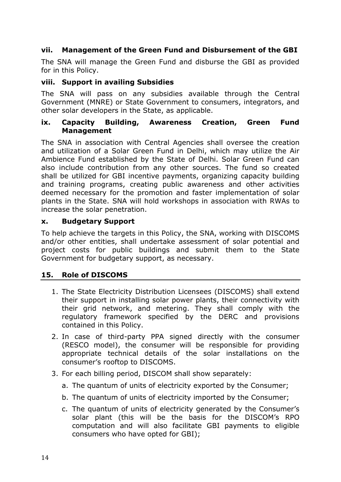# **vii. Management of the Green Fund and Disbursement of the GBI**

The SNA will manage the Green Fund and disburse the GBI as provided for in this Policy.

#### **viii. Support in availing Subsidies**

The SNA will pass on any subsidies available through the Central Government (MNRE) or State Government to consumers, integrators, and other solar developers in the State, as applicable.

#### **ix. Capacity Building, Awareness Creation, Green Fund Management**

The SNA in association with Central Agencies shall oversee the creation and utilization of a Solar Green Fund in Delhi, which may utilize the Air Ambience Fund established by the State of Delhi. Solar Green Fund can also include contribution from any other sources. The fund so created shall be utilized for GBI incentive payments, organizing capacity building and training programs, creating public awareness and other activities deemed necessary for the promotion and faster implementation of solar plants in the State. SNA will hold workshops in association with RWAs to increase the solar penetration.

#### **x. Budgetary Support**

To help achieve the targets in this Policy, the SNA, working with DISCOMS and/or other entities, shall undertake assessment of solar potential and project costs for public buildings and submit them to the State Government for budgetary support, as necessary.

## **15. Role of DISCOMS**

- 1. The State Electricity Distribution Licensees (DISCOMS) shall extend their support in installing solar power plants, their connectivity with their grid network, and metering. They shall comply with the regulatory framework specified by the DERC and provisions contained in this Policy.
- 2. In case of third-party PPA signed directly with the consumer (RESCO model), the consumer will be responsible for providing appropriate technical details of the solar installations on the consumer's rooftop to DISCOMS.
- 3. For each billing period, DISCOM shall show separately:
	- a. The quantum of units of electricity exported by the Consumer;
	- b. The quantum of units of electricity imported by the Consumer;
	- c. The quantum of units of electricity generated by the Consumer's solar plant (this will be the basis for the DISCOM's RPO computation and will also facilitate GBI payments to eligible consumers who have opted for GBI);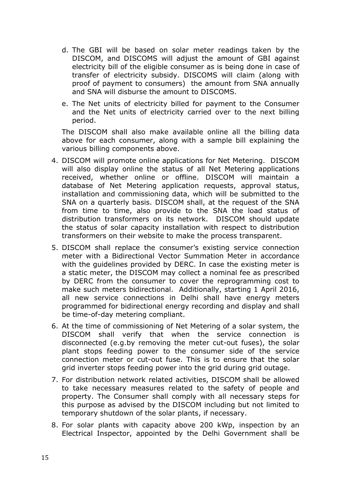- d. The GBI will be based on solar meter readings taken by the DISCOM, and DISCOMS will adjust the amount of GBI against electricity bill of the eligible consumer as is being done in case of transfer of electricity subsidy. DISCOMS will claim (along with proof of payment to consumers) the amount from SNA annually and SNA will disburse the amount to DISCOMS.
- e. The Net units of electricity billed for payment to the Consumer and the Net units of electricity carried over to the next billing period.

The DISCOM shall also make available online all the billing data above for each consumer, along with a sample bill explaining the various billing components above.

- 4. DISCOM will promote online applications for Net Metering. DISCOM will also display online the status of all Net Metering applications received, whether online or offline. DISCOM will maintain a database of Net Metering application requests, approval status, installation and commissioning data, which will be submitted to the SNA on a quarterly basis. DISCOM shall, at the request of the SNA from time to time, also provide to the SNA the load status of distribution transformers on its network. DISCOM should update the status of solar capacity installation with respect to distribution transformers on their website to make the process transparent.
- 5. DISCOM shall replace the consumer's existing service connection meter with a Bidirectional Vector Summation Meter in accordance with the guidelines provided by DERC. In case the existing meter is a static meter, the DISCOM may collect a nominal fee as prescribed by DERC from the consumer to cover the reprogramming cost to make such meters bidirectional. Additionally, starting 1 April 2016, all new service connections in Delhi shall have energy meters programmed for bidirectional energy recording and display and shall be time-of-day metering compliant.
- 6. At the time of commissioning of Net Metering of a solar system, the DISCOM shall verify that when the service connection is disconnected (e.g.by removing the meter cut-out fuses), the solar plant stops feeding power to the consumer side of the service connection meter or cut-out fuse. This is to ensure that the solar grid inverter stops feeding power into the grid during grid outage.
- 7. For distribution network related activities, DISCOM shall be allowed to take necessary measures related to the safety of people and property. The Consumer shall comply with all necessary steps for this purpose as advised by the DISCOM including but not limited to temporary shutdown of the solar plants, if necessary.
- 8. For solar plants with capacity above 200 kWp, inspection by an Electrical Inspector, appointed by the Delhi Government shall be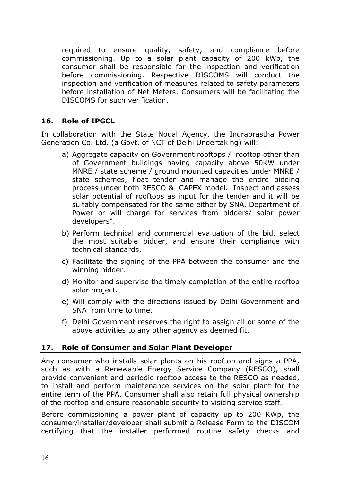required to ensure quality, safety, and compliance before commissioning. Up to a solar plant capacity of 200 kWp, the consumer shall be responsible for the inspection and verification before commissioning. Respective DISCOMS will conduct the inspection and verification of measures related to safety parameters before installation of Net Meters. Consumers will be facilitating the DISCOMS for such verification.

## **16. Role of IPGCL**

In collaboration with the State Nodal Agency, the Indraprastha Power Generation Co. Ltd. (a Govt. of NCT of Delhi Undertaking) will:

- a) Aggregate capacity on Government rooftops / rooftop other than of Government buildings having capacity above 50KW under MNRE / state scheme / ground mounted capacities under MNRE / state schemes, float tender and manage the entire bidding process under both RESCO & CAPEX model. Inspect and assess solar potential of rooftops as input for the tender and it will be suitably compensated for the same either by SNA, Department of Power or will charge for services from bidders/ solar power developers".
- b) Perform technical and commercial evaluation of the bid, select the most suitable bidder, and ensure their compliance with technical standards.
- c) Facilitate the signing of the PPA between the consumer and the winning bidder.
- d) Monitor and supervise the timely completion of the entire rooftop solar project.
- e) Will comply with the directions issued by Delhi Government and SNA from time to time.
- f) Delhi Government reserves the right to assign all or some of the above activities to any other agency as deemed fit.

## **17. Role of Consumer and Solar Plant Developer**

Any consumer who installs solar plants on his rooftop and signs a PPA, such as with a Renewable Energy Service Company (RESCO), shall provide convenient and periodic rooftop access to the RESCO as needed, to install and perform maintenance services on the solar plant for the entire term of the PPA. Consumer shall also retain full physical ownership of the rooftop and ensure reasonable security to visiting service staff.

Before commissioning a power plant of capacity up to 200 KWp, the consumer/installer/developer shall submit a Release Form to the DISCOM certifying that the installer performed routine safety checks and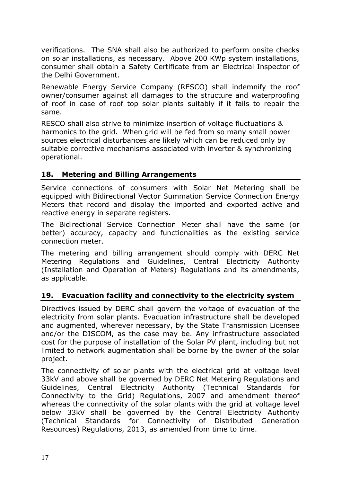verifications. The SNA shall also be authorized to perform onsite checks on solar installations, as necessary. Above 200 KWp system installations, consumer shall obtain a Safety Certificate from an Electrical Inspector of the Delhi Government.

Renewable Energy Service Company (RESCO) shall indemnify the roof owner/consumer against all damages to the structure and waterproofing of roof in case of roof top solar plants suitably if it fails to repair the same.

RESCO shall also strive to minimize insertion of voltage fluctuations & harmonics to the grid. When grid will be fed from so many small power sources electrical disturbances are likely which can be reduced only by suitable corrective mechanisms associated with inverter & synchronizing operational.

## **18. Metering and Billing Arrangements**

Service connections of consumers with Solar Net Metering shall be equipped with Bidirectional Vector Summation Service Connection Energy Meters that record and display the imported and exported active and reactive energy in separate registers.

The Bidirectional Service Connection Meter shall have the same (or better) accuracy, capacity and functionalities as the existing service connection meter.

The metering and billing arrangement should comply with DERC Net Metering Regulations and Guidelines, Central Electricity Authority (Installation and Operation of Meters) Regulations and its amendments, as applicable.

## **19. Evacuation facility and connectivity to the electricity system**

Directives issued by DERC shall govern the voltage of evacuation of the electricity from solar plants. Evacuation infrastructure shall be developed and augmented, wherever necessary, by the State Transmission Licensee and/or the DISCOM, as the case may be. Any infrastructure associated cost for the purpose of installation of the Solar PV plant, including but not limited to network augmentation shall be borne by the owner of the solar project.

The connectivity of solar plants with the electrical grid at voltage level 33kV and above shall be governed by DERC Net Metering Regulations and Guidelines, Central Electricity Authority (Technical Standards for Connectivity to the Grid) Regulations, 2007 and amendment thereof whereas the connectivity of the solar plants with the grid at voltage level below 33kV shall be governed by the Central Electricity Authority (Technical Standards for Connectivity of Distributed Generation Resources) Regulations, 2013, as amended from time to time.